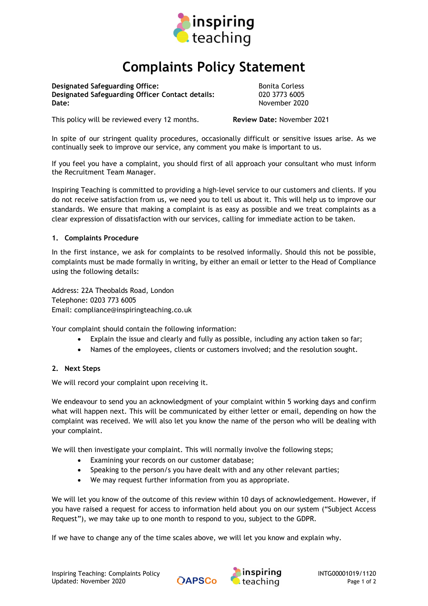

# Complaints Policy Statement

Designated Safeguarding Office: The Bonita Corless and Bonita Corless Designated Safeguarding Officer Contact details: 020 3773 6005 Date: November 2020

This policy will be reviewed every 12 months. **Review Date: November 2021** 

In spite of our stringent quality procedures, occasionally difficult or sensitive issues arise. As we continually seek to improve our service, any comment you make is important to us.

If you feel you have a complaint, you should first of all approach your consultant who must inform the Recruitment Team Manager.

Inspiring Teaching is committed to providing a high-level service to our customers and clients. If you do not receive satisfaction from us, we need you to tell us about it. This will help us to improve our standards. We ensure that making a complaint is as easy as possible and we treat complaints as a clear expression of dissatisfaction with our services, calling for immediate action to be taken.

## 1. Complaints Procedure

In the first instance, we ask for complaints to be resolved informally. Should this not be possible, complaints must be made formally in writing, by either an email or letter to the Head of Compliance using the following details:

Address: 22A Theobalds Road, London Telephone: 0203 773 6005 Email: compliance@inspiringteaching.co.uk

Your complaint should contain the following information:

- Explain the issue and clearly and fully as possible, including any action taken so far;
- Names of the employees, clients or customers involved; and the resolution sought.

#### 2. Next Steps

We will record your complaint upon receiving it.

We endeavour to send you an acknowledgment of your complaint within 5 working days and confirm what will happen next. This will be communicated by either letter or email, depending on how the complaint was received. We will also let you know the name of the person who will be dealing with your complaint.

We will then investigate your complaint. This will normally involve the following steps;

- Examining your records on our customer database;
- Speaking to the person/s you have dealt with and any other relevant parties;
- We may request further information from you as appropriate.

We will let you know of the outcome of this review within 10 days of acknowledgement. However, if you have raised a request for access to information held about you on our system ("Subject Access Request"), we may take up to one month to respond to you, subject to the GDPR.

If we have to change any of the time scales above, we will let you know and explain why.